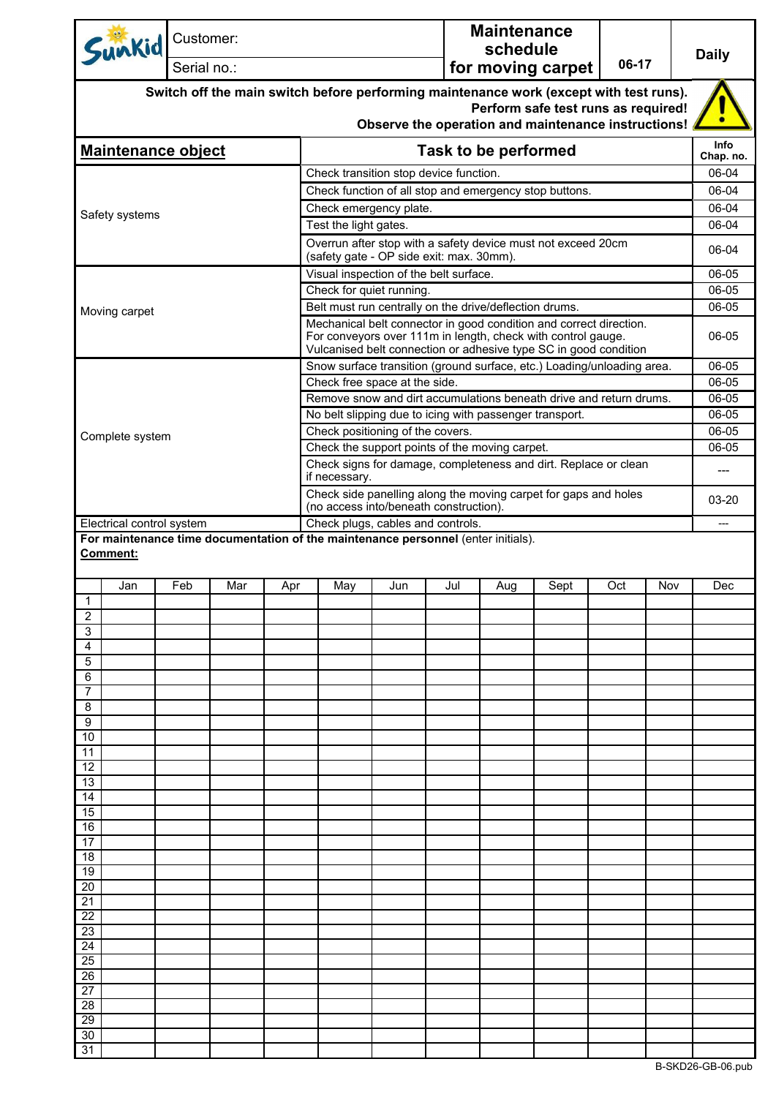| Sunkid                                                                                               | Customer: | Serial no.: |     |                                                                                                                                                                                                        |     |     | <b>Maintenance</b><br>schedule | for moving carpet                                                                          | 06-17 |     | <b>Daily</b>       |
|------------------------------------------------------------------------------------------------------|-----------|-------------|-----|--------------------------------------------------------------------------------------------------------------------------------------------------------------------------------------------------------|-----|-----|--------------------------------|--------------------------------------------------------------------------------------------|-------|-----|--------------------|
|                                                                                                      |           |             |     | Switch off the main switch before performing maintenance work (except with test runs).                                                                                                                 |     |     |                                | Perform safe test runs as required!<br>Observe the operation and maintenance instructions! |       |     |                    |
| <b>Maintenance object</b>                                                                            |           |             |     |                                                                                                                                                                                                        |     |     | <b>Task to be performed</b>    |                                                                                            |       |     | <b>Info</b>        |
|                                                                                                      |           |             |     | Check transition stop device function.                                                                                                                                                                 |     |     |                                |                                                                                            |       |     | Chap. no.<br>06-04 |
|                                                                                                      |           |             |     | Check function of all stop and emergency stop buttons.                                                                                                                                                 |     |     |                                |                                                                                            |       |     | 06-04              |
|                                                                                                      |           |             |     | Check emergency plate.                                                                                                                                                                                 |     |     |                                |                                                                                            |       |     | 06-04              |
| Safety systems                                                                                       |           |             |     | Test the light gates.                                                                                                                                                                                  |     |     |                                |                                                                                            |       |     | 06-04              |
|                                                                                                      |           |             |     | Overrun after stop with a safety device must not exceed 20cm<br>(safety gate - OP side exit: max. 30mm).                                                                                               |     |     |                                |                                                                                            |       |     | 06-04              |
|                                                                                                      |           |             |     | Visual inspection of the belt surface.                                                                                                                                                                 |     |     |                                |                                                                                            |       |     | 06-05              |
|                                                                                                      |           |             |     | Check for quiet running.                                                                                                                                                                               |     |     |                                |                                                                                            |       |     | 06-05              |
| Moving carpet                                                                                        |           |             |     | Belt must run centrally on the drive/deflection drums.                                                                                                                                                 |     |     |                                |                                                                                            |       |     | 06-05              |
|                                                                                                      |           |             |     | Mechanical belt connector in good condition and correct direction.<br>For conveyors over 111m in length, check with control gauge.<br>Vulcanised belt connection or adhesive type SC in good condition |     |     |                                |                                                                                            |       |     | 06-05              |
|                                                                                                      |           |             |     | Snow surface transition (ground surface, etc.) Loading/unloading area.                                                                                                                                 |     |     |                                |                                                                                            |       |     | 06-05              |
|                                                                                                      |           |             |     | Check free space at the side.                                                                                                                                                                          |     |     |                                |                                                                                            |       |     | 06-05              |
|                                                                                                      |           |             |     | Remove snow and dirt accumulations beneath drive and return drums.                                                                                                                                     |     |     |                                |                                                                                            |       |     | 06-05              |
|                                                                                                      |           |             |     | No belt slipping due to icing with passenger transport.                                                                                                                                                |     |     |                                |                                                                                            |       |     | 06-05              |
| Complete system                                                                                      |           |             |     | Check positioning of the covers.                                                                                                                                                                       |     |     |                                |                                                                                            |       |     | 06-05<br>06-05     |
|                                                                                                      |           |             |     | Check the support points of the moving carpet.<br>Check signs for damage, completeness and dirt. Replace or clean                                                                                      |     |     |                                |                                                                                            |       |     |                    |
|                                                                                                      |           |             |     | if necessary.<br>Check side panelling along the moving carpet for gaps and holes                                                                                                                       |     |     |                                |                                                                                            |       |     | ---                |
| Electrical control system                                                                            |           |             |     | (no access into/beneath construction).<br>Check plugs, cables and controls.                                                                                                                            |     |     |                                |                                                                                            |       |     | 03-20              |
| For maintenance time documentation of the maintenance personnel (enter initials).<br>Comment:<br>Jan | Feb       | Mar         | Apr | May                                                                                                                                                                                                    | Jun | Jul | Aug                            | Sept                                                                                       | Oct   | Nov | Dec                |
| $\overline{1}$                                                                                       |           |             |     |                                                                                                                                                                                                        |     |     |                                |                                                                                            |       |     |                    |
| $\overline{2}$                                                                                       |           |             |     |                                                                                                                                                                                                        |     |     |                                |                                                                                            |       |     |                    |
| 3<br>4                                                                                               |           |             |     |                                                                                                                                                                                                        |     |     |                                |                                                                                            |       |     |                    |
| 5                                                                                                    |           |             |     |                                                                                                                                                                                                        |     |     |                                |                                                                                            |       |     |                    |
| 6                                                                                                    |           |             |     |                                                                                                                                                                                                        |     |     |                                |                                                                                            |       |     |                    |
|                                                                                                      |           |             |     |                                                                                                                                                                                                        |     |     |                                |                                                                                            |       |     |                    |
| 8<br>9                                                                                               |           |             |     |                                                                                                                                                                                                        |     |     |                                |                                                                                            |       |     |                    |
| 10                                                                                                   |           |             |     |                                                                                                                                                                                                        |     |     |                                |                                                                                            |       |     |                    |
| 11                                                                                                   |           |             |     |                                                                                                                                                                                                        |     |     |                                |                                                                                            |       |     |                    |
| 12                                                                                                   |           |             |     |                                                                                                                                                                                                        |     |     |                                |                                                                                            |       |     |                    |
| 13<br>14                                                                                             |           |             |     |                                                                                                                                                                                                        |     |     |                                |                                                                                            |       |     |                    |
| 15                                                                                                   |           |             |     |                                                                                                                                                                                                        |     |     |                                |                                                                                            |       |     |                    |
| 16                                                                                                   |           |             |     |                                                                                                                                                                                                        |     |     |                                |                                                                                            |       |     |                    |
| 17                                                                                                   |           |             |     |                                                                                                                                                                                                        |     |     |                                |                                                                                            |       |     |                    |
| 18<br>19                                                                                             |           |             |     |                                                                                                                                                                                                        |     |     |                                |                                                                                            |       |     |                    |
| 20                                                                                                   |           |             |     |                                                                                                                                                                                                        |     |     |                                |                                                                                            |       |     |                    |
| 21                                                                                                   |           |             |     |                                                                                                                                                                                                        |     |     |                                |                                                                                            |       |     |                    |
| 22<br>23                                                                                             |           |             |     |                                                                                                                                                                                                        |     |     |                                |                                                                                            |       |     |                    |
| 24                                                                                                   |           |             |     |                                                                                                                                                                                                        |     |     |                                |                                                                                            |       |     |                    |
| 25                                                                                                   |           |             |     |                                                                                                                                                                                                        |     |     |                                |                                                                                            |       |     |                    |
| 26                                                                                                   |           |             |     |                                                                                                                                                                                                        |     |     |                                |                                                                                            |       |     |                    |
| 27                                                                                                   |           |             |     |                                                                                                                                                                                                        |     |     |                                |                                                                                            |       |     |                    |
| 28<br>29                                                                                             |           |             |     |                                                                                                                                                                                                        |     |     |                                |                                                                                            |       |     |                    |
| 30                                                                                                   |           |             |     |                                                                                                                                                                                                        |     |     |                                |                                                                                            |       |     |                    |
| 31                                                                                                   |           |             |     |                                                                                                                                                                                                        |     |     |                                |                                                                                            |       |     |                    |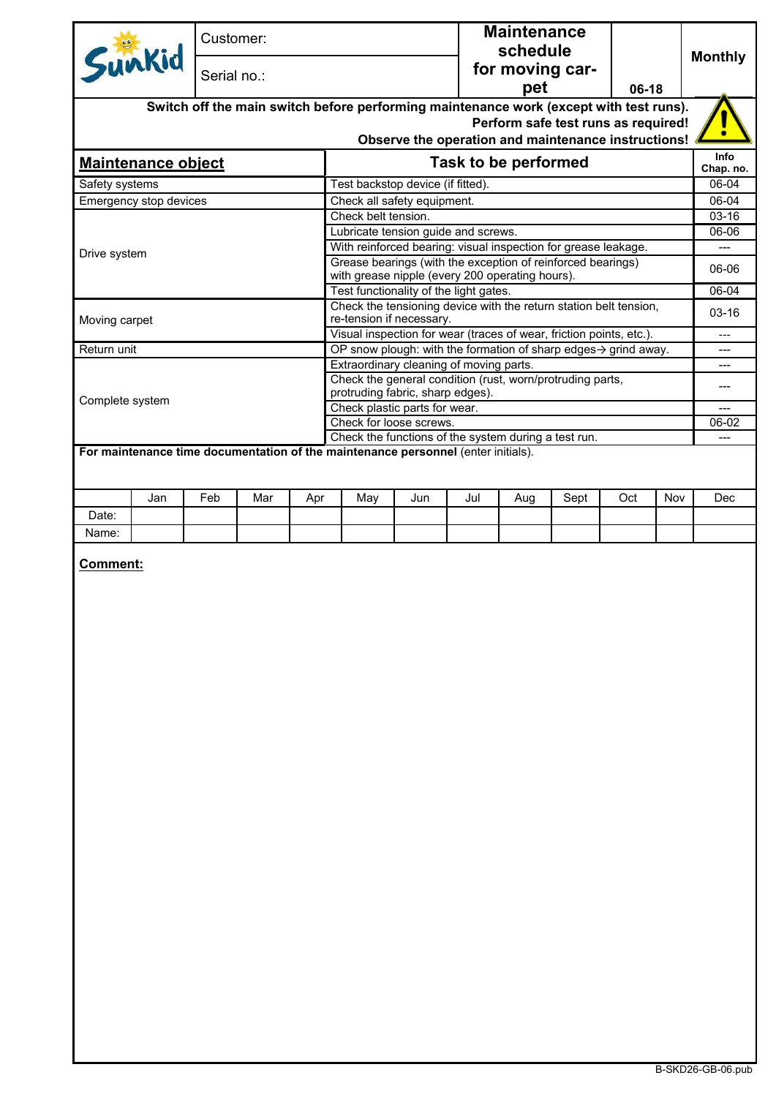| Sunkid<br><b>Maintenance object</b><br>Safety systems<br>Emergency stop devices<br>Drive system<br>Moving carpet | Serial no.:<br>Switch off the main switch before performing maintenance work (except with test runs). |                          | Test backstop device (if fitted).                                   |                             | Observe the operation and maintenance instructions! | schedule<br>for moving car-<br>pet |      | $06-18$<br>Perform safe test runs as required!                    |         | <b>Monthly</b>    |
|------------------------------------------------------------------------------------------------------------------|-------------------------------------------------------------------------------------------------------|--------------------------|---------------------------------------------------------------------|-----------------------------|-----------------------------------------------------|------------------------------------|------|-------------------------------------------------------------------|---------|-------------------|
|                                                                                                                  |                                                                                                       |                          |                                                                     |                             |                                                     |                                    |      |                                                                   |         |                   |
|                                                                                                                  |                                                                                                       |                          |                                                                     |                             |                                                     |                                    |      |                                                                   |         |                   |
|                                                                                                                  |                                                                                                       |                          |                                                                     |                             |                                                     |                                    |      |                                                                   |         |                   |
|                                                                                                                  |                                                                                                       |                          |                                                                     |                             |                                                     |                                    |      |                                                                   |         |                   |
|                                                                                                                  |                                                                                                       |                          |                                                                     |                             |                                                     |                                    |      |                                                                   |         |                   |
|                                                                                                                  |                                                                                                       |                          |                                                                     |                             |                                                     | <b>Task to be performed</b>        |      |                                                                   |         | Info<br>Chap. no. |
|                                                                                                                  |                                                                                                       |                          |                                                                     |                             |                                                     |                                    |      |                                                                   |         | 06-04             |
|                                                                                                                  |                                                                                                       |                          |                                                                     | Check all safety equipment. |                                                     |                                    |      |                                                                   |         | 06-04             |
|                                                                                                                  |                                                                                                       |                          | Check belt tension.                                                 |                             |                                                     |                                    |      |                                                                   |         | 03-16             |
|                                                                                                                  |                                                                                                       |                          | Lubricate tension guide and screws.                                 |                             |                                                     |                                    |      |                                                                   |         | 06-06             |
|                                                                                                                  |                                                                                                       |                          | With reinforced bearing: visual inspection for grease leakage.      |                             |                                                     |                                    |      |                                                                   |         | ---               |
|                                                                                                                  |                                                                                                       |                          | Grease bearings (with the exception of reinforced bearings)         |                             |                                                     |                                    |      |                                                                   |         | 06-06             |
|                                                                                                                  |                                                                                                       |                          |                                                                     |                             | with grease nipple (every 200 operating hours).     |                                    |      |                                                                   |         |                   |
|                                                                                                                  |                                                                                                       |                          |                                                                     |                             | Test functionality of the light gates.              |                                    |      | Check the tensioning device with the return station belt tension, |         | 06-04             |
|                                                                                                                  |                                                                                                       | re-tension if necessary. |                                                                     |                             |                                                     |                                    |      |                                                                   | $03-16$ |                   |
|                                                                                                                  |                                                                                                       |                          | Visual inspection for wear (traces of wear, friction points, etc.). |                             |                                                     |                                    |      |                                                                   |         | $---$             |
| Return unit                                                                                                      |                                                                                                       |                          | OP snow plough: with the formation of sharp edges-> grind away.     |                             |                                                     |                                    |      |                                                                   |         | ---               |
|                                                                                                                  |                                                                                                       |                          | Extraordinary cleaning of moving parts.                             |                             |                                                     |                                    |      |                                                                   |         |                   |
|                                                                                                                  |                                                                                                       |                          | Check the general condition (rust, worn/protruding parts,           |                             |                                                     |                                    |      |                                                                   |         |                   |
| Complete system                                                                                                  |                                                                                                       |                          | protruding fabric, sharp edges).<br>Check plastic parts for wear.   |                             |                                                     |                                    |      |                                                                   |         |                   |
|                                                                                                                  |                                                                                                       |                          | Check for loose screws.                                             |                             |                                                     |                                    |      |                                                                   |         |                   |
|                                                                                                                  |                                                                                                       |                          | Check the functions of the system during a test run.                |                             |                                                     |                                    |      |                                                                   |         |                   |
| Jan                                                                                                              | Feb<br>Mar                                                                                            | Apr                      | May                                                                 | Jun                         | Jul                                                 | Aug                                | Sept | Oct                                                               | Nov     | Dec               |
| Date:                                                                                                            |                                                                                                       |                          |                                                                     |                             |                                                     |                                    |      |                                                                   |         |                   |
| Name:                                                                                                            |                                                                                                       |                          |                                                                     |                             |                                                     |                                    |      |                                                                   |         |                   |
| Comment:                                                                                                         |                                                                                                       |                          |                                                                     |                             |                                                     |                                    |      |                                                                   |         |                   |